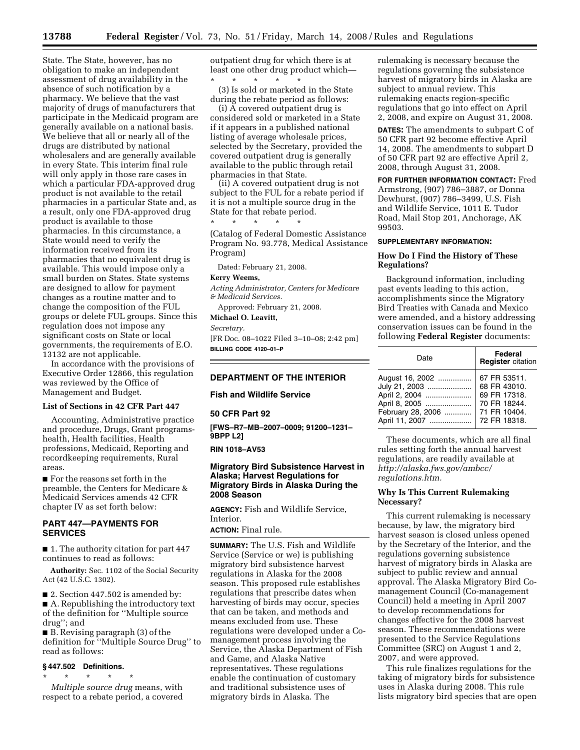State. The State, however, has no obligation to make an independent assessment of drug availability in the absence of such notification by a pharmacy. We believe that the vast majority of drugs of manufacturers that participate in the Medicaid program are generally available on a national basis. We believe that all or nearly all of the drugs are distributed by national wholesalers and are generally available in every State. This interim final rule will only apply in those rare cases in which a particular FDA-approved drug product is not available to the retail pharmacies in a particular State and, as a result, only one FDA-approved drug product is available to those pharmacies. In this circumstance, a State would need to verify the information received from its pharmacies that no equivalent drug is available. This would impose only a small burden on States. State systems are designed to allow for payment changes as a routine matter and to change the composition of the FUL groups or delete FUL groups. Since this regulation does not impose any significant costs on State or local governments, the requirements of E.O. 13132 are not applicable.

In accordance with the provisions of Executive Order 12866, this regulation was reviewed by the Office of Management and Budget.

### **List of Sections in 42 CFR Part 447**

Accounting, Administrative practice and procedure, Drugs, Grant programshealth, Health facilities, Health professions, Medicaid, Reporting and recordkeeping requirements, Rural areas.

■ For the reasons set forth in the preamble, the Centers for Medicare & Medicaid Services amends 42 CFR chapter IV as set forth below:

## **PART 447—PAYMENTS FOR SERVICES**

■ 1. The authority citation for part 447 continues to read as follows:

**Authority:** Sec. 1102 of the Social Security Act (42 U.S.C. 1302).

■ 2. Section 447.502 is amended by: ■ A. Republishing the introductory text of the definition for ''Multiple source drug''; and

■ B. Revising paragraph (3) of the definition for ''Multiple Source Drug'' to read as follows:

### **§ 447.502 Definitions.**

\* \* \* \* \* *Multiple source drug* means, with respect to a rebate period, a covered outpatient drug for which there is at least one other drug product which— \* \* \* \* \*

(3) Is sold or marketed in the State during the rebate period as follows:

(i) A covered outpatient drug is considered sold or marketed in a State if it appears in a published national listing of average wholesale prices, selected by the Secretary, provided the covered outpatient drug is generally available to the public through retail pharmacies in that State.

(ii) A covered outpatient drug is not subject to the FUL for a rebate period if it is not a multiple source drug in the State for that rebate period.

(Catalog of Federal Domestic Assistance Program No. 93.778, Medical Assistance Program)

Dated: February 21, 2008.

\* \* \* \* \*

### **Kerry Weems,**

*Acting Administrator, Centers for Medicare & Medicaid Services.* 

Approved: February 21, 2008.

**Michael O. Leavitt,** 

*Secretary.* 

[FR Doc. 08–1022 Filed 3–10–08; 2:42 pm] **BILLING CODE 4120–01–P** 

# **DEPARTMENT OF THE INTERIOR**

**Fish and Wildlife Service** 

#### **50 CFR Part 92**

**[FWS–R7–MB–2007–0009; 91200–1231– 9BPP L2]** 

#### **RIN 1018–AV53**

## **Migratory Bird Subsistence Harvest in Alaska; Harvest Regulations for Migratory Birds in Alaska During the 2008 Season**

**AGENCY:** Fish and Wildlife Service, Interior.

**ACTION:** Final rule.

**SUMMARY:** The U.S. Fish and Wildlife Service (Service or we) is publishing migratory bird subsistence harvest regulations in Alaska for the 2008 season. This proposed rule establishes regulations that prescribe dates when harvesting of birds may occur, species that can be taken, and methods and means excluded from use. These regulations were developed under a Comanagement process involving the Service, the Alaska Department of Fish and Game, and Alaska Native representatives. These regulations enable the continuation of customary and traditional subsistence uses of migratory birds in Alaska. The

rulemaking is necessary because the regulations governing the subsistence harvest of migratory birds in Alaska are subject to annual review. This rulemaking enacts region-specific regulations that go into effect on April 2, 2008, and expire on August 31, 2008.

**DATES:** The amendments to subpart C of 50 CFR part 92 become effective April 14, 2008. The amendments to subpart D of 50 CFR part 92 are effective April 2, 2008, through August 31, 2008.

**FOR FURTHER INFORMATION CONTACT:** Fred Armstrong, (907) 786–3887, or Donna Dewhurst, (907) 786–3499, U.S. Fish and Wildlife Service, 1011 E. Tudor Road, Mail Stop 201, Anchorage, AK 99503.

#### **SUPPLEMENTARY INFORMATION:**

### **How Do I Find the History of These Regulations?**

Background information, including past events leading to this action, accomplishments since the Migratory Bird Treaties with Canada and Mexico were amended, and a history addressing conservation issues can be found in the following **Federal Register** documents:

| Date              | Federal<br><b>Register</b> citation |
|-------------------|-------------------------------------|
| August 16, 2002   | 67 FR 53511.                        |
| July 21, 2003     | 68 FR 43010.                        |
| April 2, 2004     | 69 FR 17318.                        |
| April 8, 2005     | 70 FR 18244.                        |
| February 28, 2006 | 71 FR 10404.                        |
| April 11, 2007    | 72 FR 18318.                        |

These documents, which are all final rules setting forth the annual harvest regulations, are readily available at *[http://alaska.fws.gov/ambcc/](http://alaska.fws.gov/ambcc/regulations.htm)  regulations.htm.* 

## **Why Is This Current Rulemaking Necessary?**

This current rulemaking is necessary because, by law, the migratory bird harvest season is closed unless opened by the Secretary of the Interior, and the regulations governing subsistence harvest of migratory birds in Alaska are subject to public review and annual approval. The Alaska Migratory Bird Comanagement Council (Co-management Council) held a meeting in April 2007 to develop recommendations for changes effective for the 2008 harvest season. These recommendations were presented to the Service Regulations Committee (SRC) on August 1 and 2, 2007, and were approved.

This rule finalizes regulations for the taking of migratory birds for subsistence uses in Alaska during 2008. This rule lists migratory bird species that are open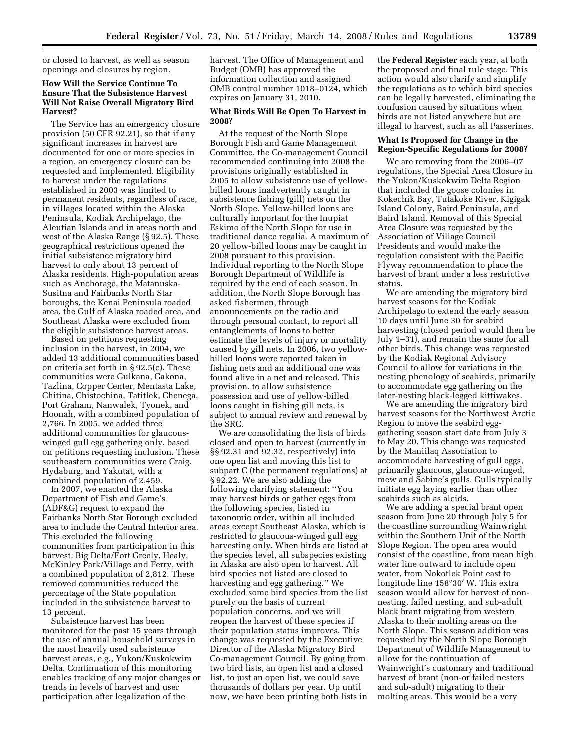or closed to harvest, as well as season openings and closures by region.

## **How Will the Service Continue To Ensure That the Subsistence Harvest Will Not Raise Overall Migratory Bird Harvest?**

The Service has an emergency closure provision (50 CFR 92.21), so that if any significant increases in harvest are documented for one or more species in a region, an emergency closure can be requested and implemented. Eligibility to harvest under the regulations established in 2003 was limited to permanent residents, regardless of race, in villages located within the Alaska Peninsula, Kodiak Archipelago, the Aleutian Islands and in areas north and west of the Alaska Range (§ 92.5). These geographical restrictions opened the initial subsistence migratory bird harvest to only about 13 percent of Alaska residents. High-population areas such as Anchorage, the Matanuska-Susitna and Fairbanks North Star boroughs, the Kenai Peninsula roaded area, the Gulf of Alaska roaded area, and Southeast Alaska were excluded from the eligible subsistence harvest areas.

Based on petitions requesting inclusion in the harvest, in 2004, we added 13 additional communities based on criteria set forth in § 92.5(c). These communities were Gulkana, Gakona, Tazlina, Copper Center, Mentasta Lake, Chitina, Chistochina, Tatitlek, Chenega, Port Graham, Nanwalek, Tyonek, and Hoonah, with a combined population of 2,766. In 2005, we added three additional communities for glaucouswinged gull egg gathering only, based on petitions requesting inclusion. These southeastern communities were Craig, Hydaburg, and Yakutat, with a combined population of 2,459.

In 2007, we enacted the Alaska Department of Fish and Game's (ADF&G) request to expand the Fairbanks North Star Borough excluded area to include the Central Interior area. This excluded the following communities from participation in this harvest: Big Delta/Fort Greely, Healy, McKinley Park/Village and Ferry, with a combined population of 2,812. These removed communities reduced the percentage of the State population included in the subsistence harvest to 13 percent.

Subsistence harvest has been monitored for the past 15 years through the use of annual household surveys in the most heavily used subsistence harvest areas, e.g., Yukon/Kuskokwim Delta. Continuation of this monitoring enables tracking of any major changes or trends in levels of harvest and user participation after legalization of the

harvest. The Office of Management and Budget (OMB) has approved the information collection and assigned OMB control number 1018–0124, which expires on January 31, 2010.

### **What Birds Will Be Open To Harvest in 2008?**

At the request of the North Slope Borough Fish and Game Management Committee, the Co-management Council recommended continuing into 2008 the provisions originally established in 2005 to allow subsistence use of yellowbilled loons inadvertently caught in subsistence fishing (gill) nets on the North Slope. Yellow-billed loons are culturally important for the Inupiat Eskimo of the North Slope for use in traditional dance regalia. A maximum of 20 yellow-billed loons may be caught in 2008 pursuant to this provision. Individual reporting to the North Slope Borough Department of Wildlife is required by the end of each season. In addition, the North Slope Borough has asked fishermen, through announcements on the radio and through personal contact, to report all entanglements of loons to better estimate the levels of injury or mortality caused by gill nets. In 2006, two yellowbilled loons were reported taken in fishing nets and an additional one was found alive in a net and released. This provision, to allow subsistence possession and use of yellow-billed loons caught in fishing gill nets, is subject to annual review and renewal by the SRC.

We are consolidating the lists of birds closed and open to harvest (currently in §§ 92.31 and 92.32, respectively) into one open list and moving this list to subpart C (the permanent regulations) at § 92.22. We are also adding the following clarifying statement: ''You may harvest birds or gather eggs from the following species, listed in taxonomic order, within all included areas except Southeast Alaska, which is restricted to glaucous-winged gull egg harvesting only. When birds are listed at the species level, all subspecies existing in Alaska are also open to harvest. All bird species not listed are closed to harvesting and egg gathering.'' We excluded some bird species from the list purely on the basis of current population concerns, and we will reopen the harvest of these species if their population status improves. This change was requested by the Executive Director of the Alaska Migratory Bird Co-management Council. By going from two bird lists, an open list and a closed list, to just an open list, we could save thousands of dollars per year. Up until now, we have been printing both lists in

the **Federal Register** each year, at both the proposed and final rule stage. This action would also clarify and simplify the regulations as to which bird species can be legally harvested, eliminating the confusion caused by situations when birds are not listed anywhere but are illegal to harvest, such as all Passerines.

### **What Is Proposed for Change in the Region-Specific Regulations for 2008?**

We are removing from the 2006–07 regulations, the Special Area Closure in the Yukon/Kuskokwim Delta Region that included the goose colonies in Kokechik Bay, Tutakoke River, Kigigak Island Colony, Baird Peninsula, and Baird Island. Removal of this Special Area Closure was requested by the Association of Village Council Presidents and would make the regulation consistent with the Pacific Flyway recommendation to place the harvest of brant under a less restrictive status.

We are amending the migratory bird harvest seasons for the Kodiak Archipelago to extend the early season 10 days until June 30 for seabird harvesting (closed period would then be July 1–31), and remain the same for all other birds. This change was requested by the Kodiak Regional Advisory Council to allow for variations in the nesting phenology of seabirds, primarily to accommodate egg gathering on the later-nesting black-legged kittiwakes.

We are amending the migratory bird harvest seasons for the Northwest Arctic Region to move the seabird egggathering season start date from July 3 to May 20. This change was requested by the Maniilaq Association to accommodate harvesting of gull eggs, primarily glaucous, glaucous-winged, mew and Sabine's gulls. Gulls typically initiate egg laying earlier than other seabirds such as alcids.

We are adding a special brant open season from June 20 through July 5 for the coastline surrounding Wainwright within the Southern Unit of the North Slope Region. The open area would consist of the coastline, from mean high water line outward to include open water, from Nokotlek Point east to longitude line 158°30′ W. This extra season would allow for harvest of nonnesting, failed nesting, and sub-adult black brant migrating from western Alaska to their molting areas on the North Slope. This season addition was requested by the North Slope Borough Department of Wildlife Management to allow for the continuation of Wainwright's customary and traditional harvest of brant (non-or failed nesters and sub-adult) migrating to their molting areas. This would be a very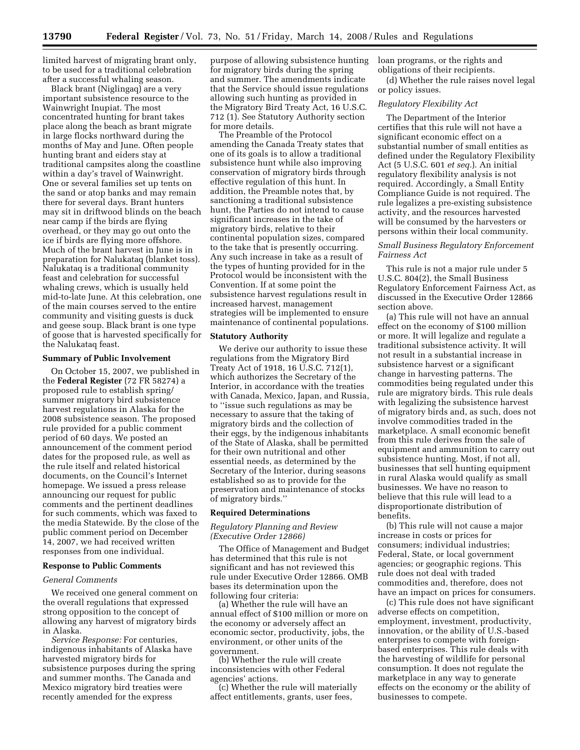limited harvest of migrating brant only, to be used for a traditional celebration after a successful whaling season.

Black brant (Niglingaq) are a very important subsistence resource to the Wainwright Inupiat. The most concentrated hunting for brant takes place along the beach as brant migrate in large flocks northward during the months of May and June. Often people hunting brant and eiders stay at traditional campsites along the coastline within a day's travel of Wainwright. One or several families set up tents on the sand or atop banks and may remain there for several days. Brant hunters may sit in driftwood blinds on the beach near camp if the birds are flying overhead, or they may go out onto the ice if birds are flying more offshore. Much of the brant harvest in June is in preparation for Nalukataq (blanket toss). Nalukataq is a traditional community feast and celebration for successful whaling crews, which is usually held mid-to-late June. At this celebration, one of the main courses served to the entire community and visiting guests is duck and geese soup. Black brant is one type of goose that is harvested specifically for the Nalukataq feast.

#### **Summary of Public Involvement**

On October 15, 2007, we published in the **Federal Register** (72 FR 58274) a proposed rule to establish spring/ summer migratory bird subsistence harvest regulations in Alaska for the 2008 subsistence season. The proposed rule provided for a public comment period of 60 days. We posted an announcement of the comment period dates for the proposed rule, as well as the rule itself and related historical documents, on the Council's Internet homepage. We issued a press release announcing our request for public comments and the pertinent deadlines for such comments, which was faxed to the media Statewide. By the close of the public comment period on December 14, 2007, we had received written responses from one individual.

### **Response to Public Comments**

### *General Comments*

We received one general comment on the overall regulations that expressed strong opposition to the concept of allowing any harvest of migratory birds in Alaska.

*Service Response:* For centuries, indigenous inhabitants of Alaska have harvested migratory birds for subsistence purposes during the spring and summer months. The Canada and Mexico migratory bird treaties were recently amended for the express

purpose of allowing subsistence hunting for migratory birds during the spring and summer. The amendments indicate that the Service should issue regulations allowing such hunting as provided in the Migratory Bird Treaty Act, 16 U.S.C. 712 (1). See Statutory Authority section for more details.

The Preamble of the Protocol amending the Canada Treaty states that one of its goals is to allow a traditional subsistence hunt while also improving conservation of migratory birds through effective regulation of this hunt. In addition, the Preamble notes that, by sanctioning a traditional subsistence hunt, the Parties do not intend to cause significant increases in the take of migratory birds, relative to their continental population sizes, compared to the take that is presently occurring. Any such increase in take as a result of the types of hunting provided for in the Protocol would be inconsistent with the Convention. If at some point the subsistence harvest regulations result in increased harvest, management strategies will be implemented to ensure maintenance of continental populations.

#### **Statutory Authority**

We derive our authority to issue these regulations from the Migratory Bird Treaty Act of 1918, 16 U.S.C. 712(1), which authorizes the Secretary of the Interior, in accordance with the treaties with Canada, Mexico, Japan, and Russia, to ''issue such regulations as may be necessary to assure that the taking of migratory birds and the collection of their eggs, by the indigenous inhabitants of the State of Alaska, shall be permitted for their own nutritional and other essential needs, as determined by the Secretary of the Interior, during seasons established so as to provide for the preservation and maintenance of stocks of migratory birds.''

### **Required Determinations**

### *Regulatory Planning and Review (Executive Order 12866)*

The Office of Management and Budget has determined that this rule is not significant and has not reviewed this rule under Executive Order 12866. OMB bases its determination upon the following four criteria:

(a) Whether the rule will have an annual effect of \$100 million or more on the economy or adversely affect an economic sector, productivity, jobs, the environment, or other units of the government.

(b) Whether the rule will create inconsistencies with other Federal agencies' actions.

(c) Whether the rule will materially affect entitlements, grants, user fees,

loan programs, or the rights and obligations of their recipients.

(d) Whether the rule raises novel legal or policy issues.

#### *Regulatory Flexibility Act*

The Department of the Interior certifies that this rule will not have a significant economic effect on a substantial number of small entities as defined under the Regulatory Flexibility Act (5 U.S.C. 601 *et seq.*). An initial regulatory flexibility analysis is not required. Accordingly, a Small Entity Compliance Guide is not required. The rule legalizes a pre-existing subsistence activity, and the resources harvested will be consumed by the harvesters or persons within their local community.

### *Small Business Regulatory Enforcement Fairness Act*

This rule is not a major rule under 5 U.S.C. 804(2), the Small Business Regulatory Enforcement Fairness Act, as discussed in the Executive Order 12866 section above.

(a) This rule will not have an annual effect on the economy of \$100 million or more. It will legalize and regulate a traditional subsistence activity. It will not result in a substantial increase in subsistence harvest or a significant change in harvesting patterns. The commodities being regulated under this rule are migratory birds. This rule deals with legalizing the subsistence harvest of migratory birds and, as such, does not involve commodities traded in the marketplace. A small economic benefit from this rule derives from the sale of equipment and ammunition to carry out subsistence hunting. Most, if not all, businesses that sell hunting equipment in rural Alaska would qualify as small businesses. We have no reason to believe that this rule will lead to a disproportionate distribution of benefits.

(b) This rule will not cause a major increase in costs or prices for consumers; individual industries; Federal, State, or local government agencies; or geographic regions. This rule does not deal with traded commodities and, therefore, does not have an impact on prices for consumers.

(c) This rule does not have significant adverse effects on competition, employment, investment, productivity, innovation, or the ability of U.S.-based enterprises to compete with foreignbased enterprises. This rule deals with the harvesting of wildlife for personal consumption. It does not regulate the marketplace in any way to generate effects on the economy or the ability of businesses to compete.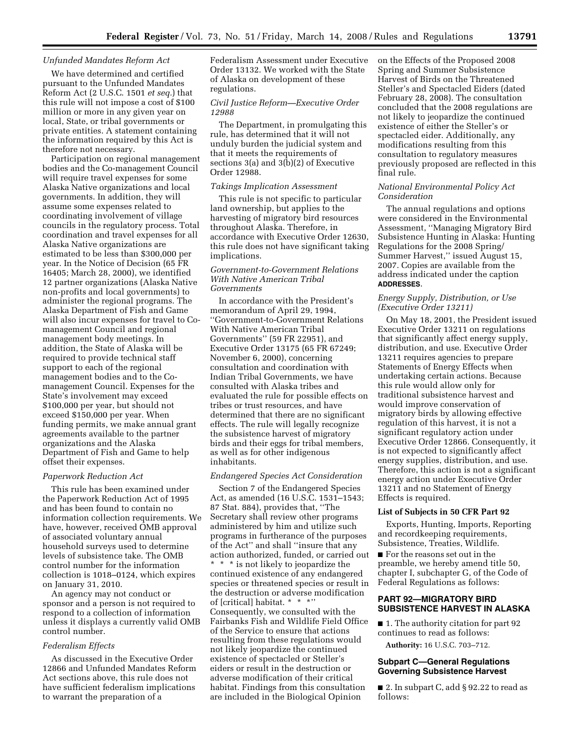#### *Unfunded Mandates Reform Act*

We have determined and certified pursuant to the Unfunded Mandates Reform Act (2 U.S.C. 1501 *et seq.*) that this rule will not impose a cost of \$100 million or more in any given year on local, State, or tribal governments or private entities. A statement containing the information required by this Act is therefore not necessary.

Participation on regional management bodies and the Co-management Council will require travel expenses for some Alaska Native organizations and local governments. In addition, they will assume some expenses related to coordinating involvement of village councils in the regulatory process. Total coordination and travel expenses for all Alaska Native organizations are estimated to be less than \$300,000 per year. In the Notice of Decision (65 FR 16405; March 28, 2000), we identified 12 partner organizations (Alaska Native non-profits and local governments) to administer the regional programs. The Alaska Department of Fish and Game will also incur expenses for travel to Comanagement Council and regional management body meetings. In addition, the State of Alaska will be required to provide technical staff support to each of the regional management bodies and to the Comanagement Council. Expenses for the State's involvement may exceed \$100,000 per year, but should not exceed \$150,000 per year. When funding permits, we make annual grant agreements available to the partner organizations and the Alaska Department of Fish and Game to help offset their expenses.

#### *Paperwork Reduction Act*

This rule has been examined under the Paperwork Reduction Act of 1995 and has been found to contain no information collection requirements. We have, however, received OMB approval of associated voluntary annual household surveys used to determine levels of subsistence take. The OMB control number for the information collection is 1018–0124, which expires on January 31, 2010.

An agency may not conduct or sponsor and a person is not required to respond to a collection of information unless it displays a currently valid OMB control number.

#### *Federalism Effects*

As discussed in the Executive Order 12866 and Unfunded Mandates Reform Act sections above, this rule does not have sufficient federalism implications to warrant the preparation of a

Federalism Assessment under Executive Order 13132. We worked with the State of Alaska on development of these regulations.

## *Civil Justice Reform—Executive Order 12988*

The Department, in promulgating this rule, has determined that it will not unduly burden the judicial system and that it meets the requirements of sections 3(a) and 3(b)(2) of Executive Order 12988.

#### *Takings Implication Assessment*

This rule is not specific to particular land ownership, but applies to the harvesting of migratory bird resources throughout Alaska. Therefore, in accordance with Executive Order 12630, this rule does not have significant taking implications.

#### *Government-to-Government Relations With Native American Tribal Governments*

In accordance with the President's memorandum of April 29, 1994, ''Government-to-Government Relations With Native American Tribal Governments'' (59 FR 22951), and Executive Order 13175 (65 FR 67249; November 6, 2000), concerning consultation and coordination with Indian Tribal Governments, we have consulted with Alaska tribes and evaluated the rule for possible effects on tribes or trust resources, and have determined that there are no significant effects. The rule will legally recognize the subsistence harvest of migratory birds and their eggs for tribal members, as well as for other indigenous inhabitants.

### *Endangered Species Act Consideration*

Section 7 of the Endangered Species Act, as amended (16 U.S.C. 1531–1543; 87 Stat. 884), provides that, ''The Secretary shall review other programs administered by him and utilize such programs in furtherance of the purposes of the Act'' and shall ''insure that any action authorized, funded, or carried out \* \* \* is not likely to jeopardize the continued existence of any endangered species or threatened species or result in the destruction or adverse modification of [critical] habitat. \* \* \*'' Consequently, we consulted with the Fairbanks Fish and Wildlife Field Office of the Service to ensure that actions resulting from these regulations would not likely jeopardize the continued existence of spectacled or Steller's eiders or result in the destruction or adverse modification of their critical habitat. Findings from this consultation are included in the Biological Opinion

on the Effects of the Proposed 2008 Spring and Summer Subsistence Harvest of Birds on the Threatened Steller's and Spectacled Eiders (dated February 28, 2008). The consultation concluded that the 2008 regulations are not likely to jeopardize the continued existence of either the Steller's or spectacled eider. Additionally, any modifications resulting from this consultation to regulatory measures previously proposed are reflected in this final rule.

## *National Environmental Policy Act Consideration*

The annual regulations and options were considered in the Environmental Assessment, ''Managing Migratory Bird Subsistence Hunting in Alaska: Hunting Regulations for the 2008 Spring/ Summer Harvest,'' issued August 15, 2007. Copies are available from the address indicated under the caption **ADDRESSES**.

### *Energy Supply, Distribution, or Use (Executive Order 13211)*

On May 18, 2001, the President issued Executive Order 13211 on regulations that significantly affect energy supply, distribution, and use. Executive Order 13211 requires agencies to prepare Statements of Energy Effects when undertaking certain actions. Because this rule would allow only for traditional subsistence harvest and would improve conservation of migratory birds by allowing effective regulation of this harvest, it is not a significant regulatory action under Executive Order 12866. Consequently, it is not expected to significantly affect energy supplies, distribution, and use. Therefore, this action is not a significant energy action under Executive Order 13211 and no Statement of Energy Effects is required.

#### **List of Subjects in 50 CFR Part 92**

Exports, Hunting, Imports, Reporting and recordkeeping requirements, Subsistence, Treaties, Wildlife.

■ For the reasons set out in the preamble, we hereby amend title 50, chapter I, subchapter G, of the Code of Federal Regulations as follows:

## **PART 92—MIGRATORY BIRD SUBSISTENCE HARVEST IN ALASKA**

■ 1. The authority citation for part 92 continues to read as follows:

**Authority:** 16 U.S.C. 703–712.

### **Subpart C—General Regulations Governing Subsistence Harvest**

■ 2. In subpart C, add § 92.22 to read as follows: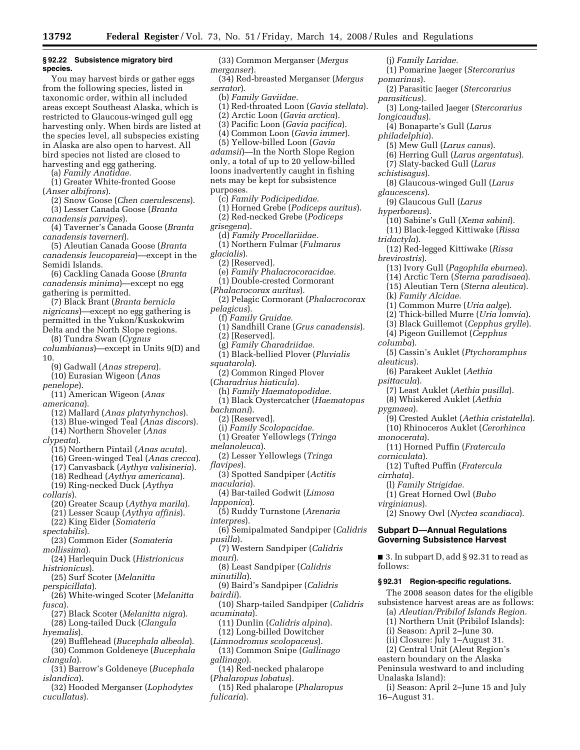#### **§ 92.22 Subsistence migratory bird species.**

You may harvest birds or gather eggs from the following species, listed in taxonomic order, within all included areas except Southeast Alaska, which is restricted to Glaucous-winged gull egg harvesting only. When birds are listed at the species level, all subspecies existing in Alaska are also open to harvest. All bird species not listed are closed to harvesting and egg gathering.

(a) *Family Anatidae.* 

(1) Greater White-fronted Goose (*Anser albifrons*).

(2) Snow Goose (*Chen caerulescens*). (3) Lesser Canada Goose (*Branta* 

*canadensis parvipes*).

(4) Taverner's Canada Goose (*Branta canadensis taverneri*).

(5) Aleutian Canada Goose (*Branta canadensis leucopareia*)—except in the Semidi Islands.

(6) Cackling Canada Goose (*Branta canadensis minima*)—except no egg gathering is permitted.

(7) Black Brant (*Branta bernicla nigricans*)—except no egg gathering is permitted in the Yukon/Kuskokwim Delta and the North Slope regions.

(8) Tundra Swan (*Cygnus* 

*columbianus*)—except in Units 9(D) and 10.

(9) Gadwall (*Anas strepera*).

(10) Eurasian Wigeon (*Anas penelope*).

(11) American Wigeon (*Anas americana*).

- (12) Mallard (*Anas platyrhynchos*).
- (13) Blue-winged Teal (*Anas discors*).

(14) Northern Shoveler (*Anas* 

- *clypeata*).
	- (15) Northern Pintail (*Anas acuta*).
	- (16) Green-winged Teal (*Anas crecca*).
	- (17) Canvasback (*Aythya valisineria*).
	- (18) Redhead (*Aythya americana*). (19) Ring-necked Duck (*Aythya*

*collaris*).

- (20) Greater Scaup (*Aythya marila*).
- (21) Lesser Scaup (*Aythya affinis*).

(22) King Eider (*Somateria* 

*spectabilis*).

- (23) Common Eider (*Somateria mollissima*).
- (24) Harlequin Duck (*Histrionicus histrionicus*).

(25) Surf Scoter (*Melanitta* 

- *perspicillata*).
- (26) White-winged Scoter (*Melanitta fusca*).
- (27) Black Scoter (*Melanitta nigra*). (28) Long-tailed Duck (*Clangula*
- *hyemalis*).
- (29) Bufflehead (*Bucephala albeola*). (30) Common Goldeneye (*Bucephala*
- *clangula*).
- (31) Barrow's Goldeneye (*Bucephala islandica*).
- (32) Hooded Merganser (*Lophodytes cucullatus*).

(33) Common Merganser (*Mergus merganser*).

(34) Red-breasted Merganser (*Mergus serrator*).

(b) *Family Gaviidae.* 

- (1) Red-throated Loon (*Gavia stellata*).
- (2) Arctic Loon (*Gavia arctica*).
- (3) Pacific Loon (*Gavia pacifica*).

(4) Common Loon (*Gavia immer*).

(5) Yellow-billed Loon (*Gavia adamsii*)—In the North Slope Region only, a total of up to 20 yellow-billed loons inadvertently caught in fishing nets may be kept for subsistence purposes.

- (c) *Family Podicipedidae.*
- (1) Horned Grebe (*Podiceps auritus*).
- (2) Red-necked Grebe (*Podiceps*
- *grisegena*).
	- (d) *Family Procellariidae.*
	- (1) Northern Fulmar (*Fulmarus*
- *glacialis*).
	- (2) [Reserved].
	- (e) *Family Phalacrocoracidae.*
- (1) Double-crested Cormorant
- (*Phalacrocorax auritus*).
- (2) Pelagic Cormorant (*Phalacrocorax pelagicus*).
- (f) *Family Gruidae.*
- (1) Sandhill Crane (*Grus canadensis*).
- (2) [Reserved].
- (g) *Family Charadriidae.*
- (1) Black-bellied Plover (*Pluvialis squatarola*).
- (2) Common Ringed Plover
- (*Charadrius hiaticula*).
- (h) *Family Haematopodidae.*
- (1) Black Oystercatcher (*Haematopus bachmani*).
- (2) [Reserved].
- (i) *Family Scolopacidae.*
- (1) Greater Yellowlegs (*Tringa*
- *melanoleuca*).
- (2) Lesser Yellowlegs (*Tringa flavipes*).
- (3) Spotted Sandpiper (*Actitis macularia*).
- (4) Bar-tailed Godwit (*Limosa*
- *lapponica*). (5) Ruddy Turnstone (*Arenaria*
- *interpres*).
- (6) Semipalmated Sandpiper (*Calidris pusilla*).
- (7) Western Sandpiper (*Calidris mauri*).
- (8) Least Sandpiper (*Calidris minutilla*).
- (9) Baird's Sandpiper (*Calidris bairdii*).
- (10) Sharp-tailed Sandpiper (*Calidris acuminata*).
- (11) Dunlin (*Calidris alpina*).
- (12) Long-billed Dowitcher
- (*Limnodromus scolopaceus*). (13) Common Snipe (*Gallinago gallinago*).
- (14) Red-necked phalarope
- (*Phalaropus lobatus*).
- (15) Red phalarope (*Phalaropus fulicaria*).

*philadelphia*). (5) Mew Gull (*Larus canus*). (6) Herring Gull (*Larus argentatus*). (7) Slaty-backed Gull (*Larus schistisagus*). (8) Glaucous-winged Gull (*Larus glaucescens*). (9) Glaucous Gull (*Larus hyperboreus*). (10) Sabine's Gull (*Xema sabini*). (11) Black-legged Kittiwake (*Rissa tridactyla*). (12) Red-legged Kittiwake (*Rissa brevirostris*). (13) Ivory Gull (*Pagophila eburnea*). (14) Arctic Tern (*Sterna paradisaea*). (15) Aleutian Tern (*Sterna aleutica*). (k) *Family Alcidae.*  (1) Common Murre (*Uria aalge*). (2) Thick-billed Murre (*Uria lomvia*). (3) Black Guillemot (*Cepphus grylle*). (4) Pigeon Guillemot (*Cepphus columba*). (5) Cassin's Auklet (*Ptychoramphus aleuticus*). (6) Parakeet Auklet (*Aethia psittacula*). (7) Least Auklet (*Aethia pusilla*).

(j) *Family Laridae.* 

*pomarinus*).

*parasiticus*).

*longicaudus*).

(1) Pomarine Jaeger (*Stercorarius* 

(2) Parasitic Jaeger (*Stercorarius* 

(4) Bonaparte's Gull (*Larus* 

(3) Long-tailed Jaeger (*Stercorarius* 

- 
- (8) Whiskered Auklet (*Aethia*

*pygmaea*).

(9) Crested Auklet (*Aethia cristatella*). (10) Rhinoceros Auklet (*Cerorhinca* 

(2) Snowy Owl (*Nyctea scandiaca*).

■ 3. In subpart D, add § 92.31 to read as

The 2008 season dates for the eligible subsistence harvest areas are as follows: (a) *Aleutian/Pribilof Islands Region.*  (1) Northern Unit (Pribilof Islands): (i) Season: April 2–June 30. (ii) Closure: July 1–August 31. (2) Central Unit (Aleut Region's eastern boundary on the Alaska Peninsula westward to and including

(i) Season: April 2–June 15 and July

- *monocerata*).
- (11) Horned Puffin (*Fratercula corniculata*).

**Subpart D—Annual Regulations Governing Subsistence Harvest** 

**§ 92.31 Region-specific regulations.** 

- (12) Tufted Puffin (*Fratercula*
- *cirrhata*).

follows:

Unalaska Island):

16–August 31.

*virginianus*).

(l) *Family Strigidae.*  (1) Great Horned Owl (*Bubo*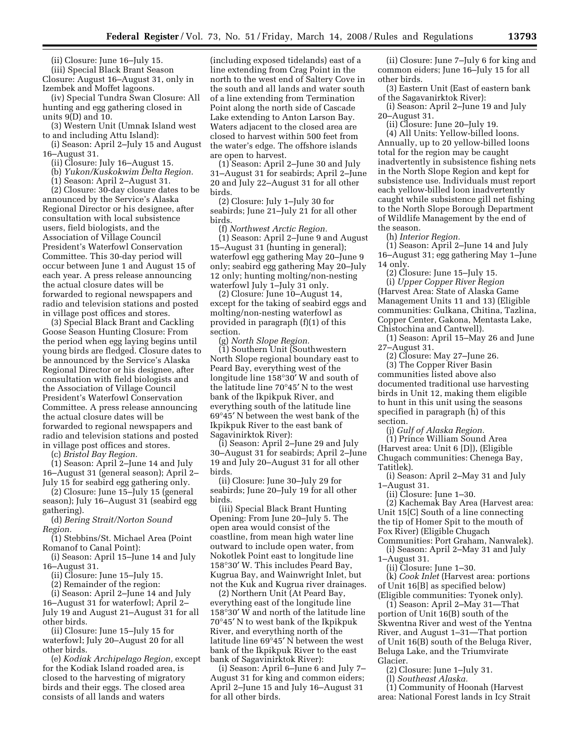(ii) Closure: June 16–July 15. (iii) Special Black Brant Season Closure: August 16–August 31, only in Izembek and Moffet lagoons.

(iv) Special Tundra Swan Closure: All hunting and egg gathering closed in units 9(D) and 10.

(3) Western Unit (Umnak Island west to and including Attu Island):

(i) Season: April 2–July 15 and August 16–August 31.

(ii) Closure: July 16–August 15.

(b) *Yukon/Kuskokwim Delta Region.* 

(1) Season: April 2–August 31.

(2) Closure: 30-day closure dates to be announced by the Service's Alaska Regional Director or his designee, after consultation with local subsistence users, field biologists, and the Association of Village Council President's Waterfowl Conservation Committee. This 30-day period will occur between June 1 and August 15 of each year. A press release announcing the actual closure dates will be forwarded to regional newspapers and radio and television stations and posted in village post offices and stores.

(3) Special Black Brant and Cackling Goose Season Hunting Closure: From the period when egg laying begins until young birds are fledged. Closure dates to be announced by the Service's Alaska Regional Director or his designee, after consultation with field biologists and the Association of Village Council President's Waterfowl Conservation Committee. A press release announcing the actual closure dates will be forwarded to regional newspapers and radio and television stations and posted in village post offices and stores.

(c) *Bristol Bay Region.* 

(1) Season: April 2–June 14 and July 16–August 31 (general season); April 2– July 15 for seabird egg gathering only.

(2) Closure: June 15–July 15 (general season); July 16–August 31 (seabird egg gathering).

(d) *Bering Strait/Norton Sound Region.* 

(1) Stebbins/St. Michael Area (Point Romanof to Canal Point):

(i) Season: April 15–June 14 and July 16–August 31.

(ii) Closure: June 15–July 15.

(2) Remainder of the region:

(i) Season: April 2–June 14 and July 16–August 31 for waterfowl; April 2– July 19 and August 21–August 31 for all other birds.

(ii) Closure: June 15–July 15 for waterfowl; July 20–August 20 for all other birds.

(e) *Kodiak Archipelago Region,* except for the Kodiak Island roaded area, is closed to the harvesting of migratory birds and their eggs. The closed area consists of all lands and waters

(including exposed tidelands) east of a line extending from Crag Point in the north to the west end of Saltery Cove in the south and all lands and water south of a line extending from Termination Point along the north side of Cascade Lake extending to Anton Larson Bay. Waters adjacent to the closed area are closed to harvest within 500 feet from the water's edge. The offshore islands are open to harvest.

(1) Season: April 2–June 30 and July 31–August 31 for seabirds; April 2–June 20 and July 22–August 31 for all other birds.

(2) Closure: July 1–July 30 for seabirds; June 21–July 21 for all other birds.

(f) *Northwest Arctic Region.* 

(1) Season: April 2–June 9 and August 15–August 31 (hunting in general); waterfowl egg gathering May 20–June 9 only; seabird egg gathering May 20–July 12 only; hunting molting/non-nesting waterfowl July 1-July 31 only.

(2) Closure: June 10–August 14, except for the taking of seabird eggs and molting/non-nesting waterfowl as provided in paragraph (f)(1) of this section.

(g) *North Slope Region.*  (1) Southern Unit (Southwestern North Slope regional boundary east to Peard Bay, everything west of the longitude line 158°30′ W and south of the latitude line 70°45′ N to the west bank of the Ikpikpuk River, and everything south of the latitude line 69°45′ N between the west bank of the Ikpikpuk River to the east bank of Sagavinirktok River):

(i) Season: April 2–June 29 and July 30–August 31 for seabirds; April 2–June 19 and July 20–August 31 for all other birds.

(ii) Closure: June 30–July 29 for seabirds; June 20–July 19 for all other birds.

(iii) Special Black Brant Hunting Opening: From June 20–July 5. The open area would consist of the coastline, from mean high water line outward to include open water, from Nokotlek Point east to longitude line 158°30′ W. This includes Peard Bay, Kugrua Bay, and Wainwright Inlet, but not the Kuk and Kugrua river drainages.

(2) Northern Unit (At Peard Bay, everything east of the longitude line 158°30′ W and north of the latitude line 70°45′ N to west bank of the Ikpikpuk River, and everything north of the latitude line 69°45′ N between the west bank of the Ikpikpuk River to the east bank of Sagavinirktok River):

(i) Season: April 6–June 6 and July 7– August 31 for king and common eiders; April 2–June 15 and July 16–August 31 for all other birds.

(ii) Closure: June 7–July 6 for king and common eiders; June 16–July 15 for all other birds.

(3) Eastern Unit (East of eastern bank of the Sagavanirktok River):

(i) Season: April 2–June 19 and July 20–August 31.

(ii) Closure: June 20–July 19.

(4) All Units: Yellow-billed loons. Annually, up to 20 yellow-billed loons total for the region may be caught inadvertently in subsistence fishing nets in the North Slope Region and kept for subsistence use. Individuals must report each yellow-billed loon inadvertently caught while subsistence gill net fishing to the North Slope Borough Department of Wildlife Management by the end of the season.

(h) *Interior Region.* 

(1) Season: April 2–June 14 and July 16–August 31; egg gathering May 1–June 14 only.

(2) Closure: June 15–July 15. (i) *Upper Copper River Region*  (Harvest Area: State of Alaska Game Management Units 11 and 13) (Eligible communities: Gulkana, Chitina, Tazlina, Copper Center, Gakona, Mentasta Lake, Chistochina and Cantwell).

(1) Season: April 15–May 26 and June 27–August 31.

(2) Closure: May 27–June 26. (3) The Copper River Basin communities listed above also documented traditional use harvesting birds in Unit 12, making them eligible to hunt in this unit using the seasons specified in paragraph (h) of this section.

(j) *Gulf of Alaska Region.*  (1) Prince William Sound Area (Harvest area: Unit 6 [D]), (Eligible Chugach communities: Chenega Bay, Tatitlek).

(i) Season: April 2–May 31 and July 1–August 31.

(ii) Closure: June 1–30.

(2) Kachemak Bay Area (Harvest area: Unit 15[C] South of a line connecting the tip of Homer Spit to the mouth of Fox River) (Eligible Chugach

Communities: Port Graham, Nanwalek). (i) Season: April 2–May 31 and July

1–August 31. (ii) Closure: June 1–30.

(k) *Cook Inlet* (Harvest area: portions of Unit 16[B] as specified below) (Eligible communities: Tyonek only).

(1) Season: April 2–May 31—That portion of Unit 16(B) south of the Skwentna River and west of the Yentna River, and August 1–31—That portion of Unit 16(B) south of the Beluga River, Beluga Lake, and the Triumvirate Glacier.

- (2) Closure: June 1–July 31.
- (l) *Southeast Alaska.*

(1) Community of Hoonah (Harvest area: National Forest lands in Icy Strait